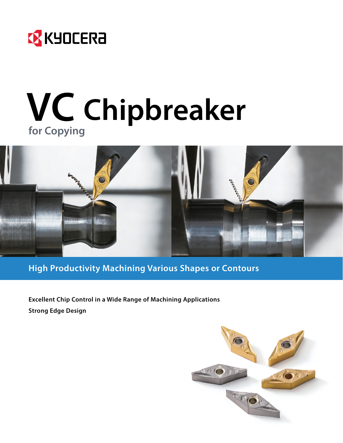

# **VC Chipbreaker for Copying**



**High Productivity Machining Various Shapes or Contours**

**Excellent Chip Control in a Wide Range of Machining Applications Strong Edge Design**

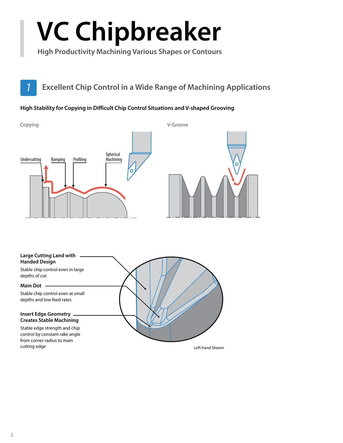# **VC Chipbreaker**

**High Productivity Machining Various Shapes or Contours**

# *1* **Excellent Chip Control in a Wide Range of Machining Applications**

#### **High Stability for Copying in Difficult Chip Control Situations and V-shaped Grooving**



#### **Large Cutting Land with Handed Design**

Stable chip control even in large depths of cut

#### **Main Dot**

Stable chip control even at small depths and low feed rates

#### **Insert Edge Geometry Creates Stable Machining**

Stable edge strength and chip control by constant rake angle from corner radius to main cutting edge **Left-hand Shown Cutting edge Left-hand Shown**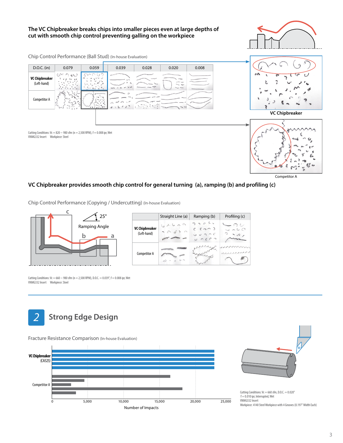#### **The VC Chipbreaker breaks chips into smaller pieces even at large depths of cut with smooth chip control preventing galling on the workpiece**



Chip Control Performance (Ball Stud) (In-house Evaluation)



#### **VC Chipbreaker provides smooth chip control for general turning (a), ramping (b) and profiling (c)**

Chip Control Performance (Copying / Undercutting) (In-house Evaluation)



Cutting Conditions: Vc =  $660 \sim 980$  sfm (n = 2,500 RPM), D.O.C. = 0.039", f = 0.008 ipr, Wet VNMG332 Insert Workpiece: Steel







Cutting Conditions:  $Vc = 660$  sfm, D.O.C. = 0.020"  $f = 0.010$  ipr, Interrupted, Wet VNMG332 Insert Workpiece: 4140 Steel Workpiece with 4 Grooves (0.197" Width Each)